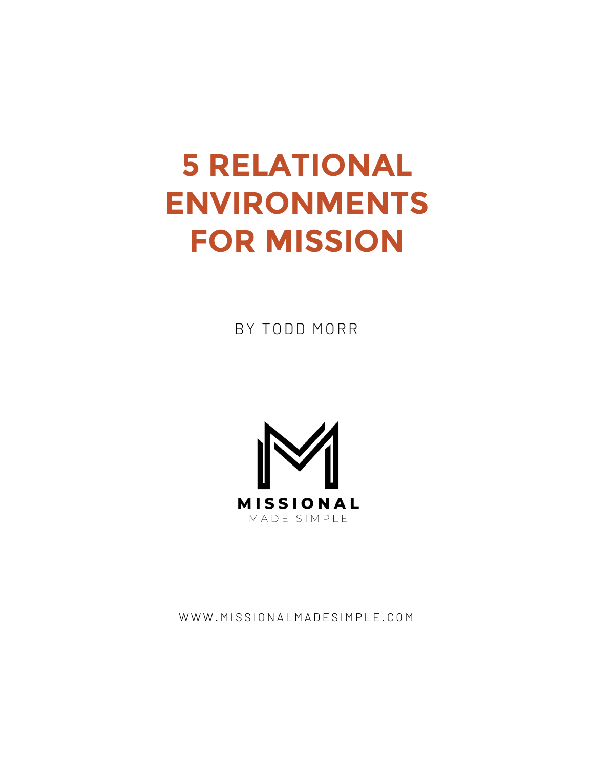# **5 RELATIONAL ENVIRONMENTS FOR MISSION**

BY TODD MORR



WWW.MISSIONALMADESIMPLE.COM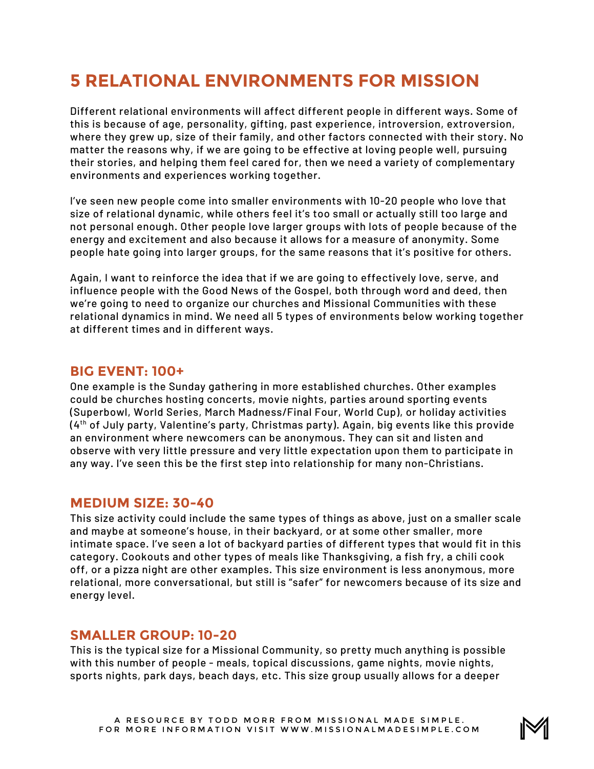## **5 RELATIONAL ENVIRONMENTS FOR MISSION**

Different relational environments will affect different people in different ways. Some of this is because of age, personality, gifting, past experience, introversion, extroversion, where they grew up, size of their family, and other factors connected with their story. No matter the reasons why, if we are going to be effective at loving people well, pursuing their stories, and helping them feel cared for, then we need a variety of complementary environments and experiences working together.

I've seen new people come into smaller environments with 10-20 people who love that size of relational dynamic, while others feel it's too small or actually still too large and not personal enough. Other people love larger groups with lots of people because of the energy and excitement and also because it allows for a measure of anonymity. Some people hate going into larger groups, for the same reasons that it's positive for others.

Again, I want to reinforce the idea that if we are going to effectively love, serve, and influence people with the Good News of the Gospel, both through word and deed, then we're going to need to organize our churches and Missional Communities with these relational dynamics in mind. We need all 5 types of environments below working together at different times and in different ways.

#### **BIG EVENT: 100+**

One example is the Sunday gathering in more established churches. Other examples could be churches hosting concerts, movie nights, parties around sporting events (Superbowl, World Series, March Madness/Final Four, World Cup), or holiday activities (4th of July party, Valentine's party, Christmas party). Again, big events like this provide an environment where newcomers can be anonymous. They can sit and listen and observe with very little pressure and very little expectation upon them to participate in any way. I've seen this be the first step into relationship for many non-Christians.

#### **MEDIUM SIZE: 30-40**

This size activity could include the same types of things as above, just on a smaller scale and maybe at someone's house, in their backyard, or at some other smaller, more intimate space. I've seen a lot of backyard parties of different types that would fit in this category. Cookouts and other types of meals like Thanksgiving, a fish fry, a chili cook off, or a pizza night are other examples. This size environment is less anonymous, more relational, more conversational, but still is "safer" for newcomers because of its size and energy level.

#### **SMALLER GROUP: 10-20**

This is the typical size for a Missional Community, so pretty much anything is possible with this number of people - meals, topical discussions, game nights, movie nights, sports nights, park days, beach days, etc. This size group usually allows for a deeper